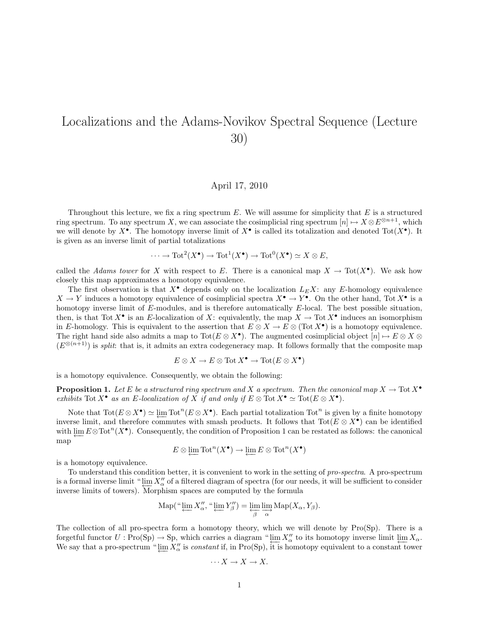## Localizations and the Adams-Novikov Spectral Sequence (Lecture 30)

## April 17, 2010

Throughout this lecture, we fix a ring spectrum  $E$ . We will assume for simplicity that  $E$  is a structured ring spectrum. To any spectrum X, we can associate the cosimplicial ring spectrum  $[n] \mapsto X \otimes E^{\otimes n+1}$ , which we will denote by  $X^{\bullet}$ . The homotopy inverse limit of  $X^{\bullet}$  is called its totalization and denoted  $Tot(X^{\bullet})$ . It is given as an inverse limit of partial totalizations

$$
\cdots \to \mathrm{Tot}^2(X^\bullet) \to \mathrm{Tot}^1(X^\bullet) \to \mathrm{Tot}^0(X^\bullet) \simeq X \otimes E,
$$

called the Adams tower for X with respect to E. There is a canonical map  $X \to \text{Tot}(X^{\bullet})$ . We ask how closely this map approximates a homotopy equivalence.

The first observation is that  $X^{\bullet}$  depends only on the localization  $L_{E}X$ : any E-homology equivalence  $X \to Y$  induces a homotopy equivalence of cosimplicial spectra  $X^{\bullet} \to Y^{\bullet}$ . On the other hand, Tot  $X^{\bullet}$  is a homotopy inverse limit of E-modules, and is therefore automatically E-local. The best possible situation, then, is that Tot  $X^{\bullet}$  is an E-localization of X: equivalently, the map  $X \to \text{Tot } X^{\bullet}$  induces an isomorphism in E-homology. This is equivalent to the assertion that  $E \otimes X \to E \otimes (\text{Tot } X^{\bullet})$  is a homotopy equivalence. The right hand side also admits a map to  $\text{Tot}(E \otimes X^{\bullet})$ . The augmented cosimplicial object  $[n] \mapsto E \otimes X \otimes Y$  $(E^{\otimes (n+1)})$  is *split*: that is, it admits an extra codegeneracy map. It follows formally that the composite map

$$
E \otimes X \to E \otimes \text{Tot } X^{\bullet} \to \text{Tot}(E \otimes X^{\bullet})
$$

is a homotopy equivalence. Consequently, we obtain the following:

**Proposition 1.** Let E be a structured ring spectrum and X a spectrum. Then the canonical map  $X \to \text{Tot } X^{\bullet}$ exhibits Tot  $X^{\bullet}$  as an E-localization of X if and only if  $E \otimes \text{Tot } X^{\bullet} \simeq \text{Tot}(E \otimes X^{\bullet})$ .

Note that  $\text{Tot}(E \otimes X^{\bullet}) \simeq \varprojlim \text{Tot}^{n}(E \otimes X^{\bullet})$ . Each partial totalization  $\text{Tot}^{n}$  is given by a finite homotopy inverse limit, and therefore commutes with smash products. It follows that  $\text{Tot}(E \otimes X^{\bullet})$  can be identified with  $\varprojlim E\otimes \text{Tot}^n(X^{\bullet})$ . Consequently, the condition of Proposition 1 can be restated as follows: the canonical map

$$
E\otimes\varprojlim\mathrm{Tot}^n(X^\bullet)\to\varprojlim E\otimes\mathrm{Tot}^n(X^\bullet)
$$

is a homotopy equivalence.

To understand this condition better, it is convenient to work in the setting of pro-spectra. A pro-spectrum is a formal inverse limit "  $\lim_{\Delta t \to 0} X''_\alpha$  of a filtered diagram of spectra (for our needs, it will be sufficient to consider inverse limits of towers). Morphism spaces are computed by the formula

$$
\operatorname{Map}(\text{``}\varprojlim X''_{\alpha}, \text{``}\varprojlim Y''_{\beta}) = \varprojlim_{\beta} \varinjlim_{\alpha} \operatorname{Map}(X_{\alpha}, Y_{\beta}).
$$

The collection of all pro-spectra form a homotopy theory, which we will denote by Pro(Sp). There is a forgetful functor  $U : \text{Pro(Sp)} \to \text{Sp}$ , which carries a diagram " $\lim_{\Delta} X''_{\Delta}$  to its homotopy inverse limit  $\lim_{\Delta} X_{\Delta}$ . We say that a pro-spectrum "  $\varprojlim X''_{\alpha}$  is *constant* if, in Pro(Sp), it is homotopy equivalent to a constant tower

$$
\cdots X \to X \to X.
$$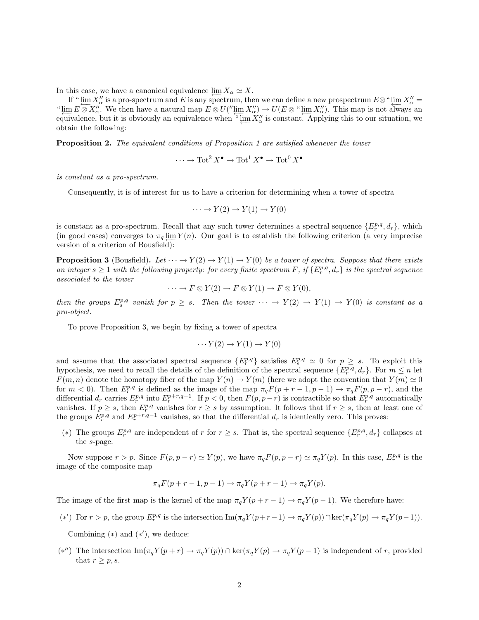In this case, we have a canonical equivalence  $\varprojlim X_\alpha \simeq X$ .

If " $\lim_{\alpha \to 0} X''_{\alpha}$  is a pro-spectrum and E is any spectrum, then we can define a new prospectrum  $E \otimes$ " $\lim_{\alpha \to \infty} X''_{\alpha} =$ "  $\varprojlim E \otimes X''_{\alpha}$ . We then have a natural map  $E \otimes U''(\varprojlim_{\alpha} X''_{\alpha}) \to U(E \otimes \varprojlim_{\alpha} X''_{\alpha})$ . This map is not always an equivalence, but it is obviously an equivalence when "  $\varprojlim X''_{\alpha}$  is constant. Applying this to our situation, we obtain the following:

Proposition 2. The equivalent conditions of Proposition 1 are satisfied whenever the tower

$$
\cdots \to \text{Tot}^2 X^{\bullet} \to \text{Tot}^1 X^{\bullet} \to \text{Tot}^0 X^{\bullet}
$$

is constant as a pro-spectrum.

Consequently, it is of interest for us to have a criterion for determining when a tower of spectra

$$
\cdots \to Y(2) \to Y(1) \to Y(0)
$$

is constant as a pro-spectrum. Recall that any such tower determines a spectral sequence  $\{E_r^{p,q}, d_r\}$ , which (in good cases) converges to  $\pi_q \lim_{t \to \infty} Y(n)$ . Our goal is to establish the following criterion (a very imprecise version of a criterion of Bousfield):

**Proposition 3** (Bousfield). Let  $\cdots \rightarrow Y(2) \rightarrow Y(1) \rightarrow Y(0)$  be a tower of spectra. Suppose that there exists an integer  $s \geq 1$  with the following property: for every finite spectrum F, if  $\{E_r^{p,q}, d_r\}$  is the spectral sequence associated to the tower

$$
\cdots \to F \otimes Y(2) \to F \otimes Y(1) \to F \otimes Y(0),
$$

then the groups  $E_s^{p,q}$  vanish for  $p \geq s$ . Then the tower  $\cdots \rightarrow Y(2) \rightarrow Y(1) \rightarrow Y(0)$  is constant as a pro-object.

To prove Proposition 3, we begin by fixing a tower of spectra

$$
\cdots Y(2) \to Y(1) \to Y(0)
$$

and assume that the associated spectral sequence  $\{E_r^{p,q}\}\$  satisfies  $E_s^{p,q} \simeq 0$  for  $p \geq s$ . To exploit this hypothesis, we need to recall the details of the definition of the spectral sequence  $\{E_r^{p,q}, d_r\}$ . For  $m \leq n$  let  $F(m, n)$  denote the homotopy fiber of the map  $Y(n) \to Y(m)$  (here we adopt the convention that  $Y(m) \simeq 0$ for  $m < 0$ ). Then  $E_r^{p,q}$  is defined as the image of the map  $\pi_q F(p + r - 1, p - 1) \to \pi_q F(p, p - r)$ , and the differential  $d_r$  carries  $E_r^{p,q}$  into  $E_r^{p+r,q-1}$ . If  $p < 0$ , then  $F(p, p-r)$  is contractible so that  $E_r^{p,q}$  automatically vanishes. If  $p \geq s$ , then  $E_r^{p,q}$  vanishes for  $r \geq s$  by assumption. It follows that if  $r \geq s$ , then at least one of the groups  $E_r^{p,q}$  and  $E_r^{p+r,q-1}$  vanishes, so that the differential  $d_r$  is identically zero. This proves:

(\*) The groups  $E_r^{p,q}$  are independent of r for  $r \geq s$ . That is, the spectral sequence  $\{E_r^{p,q}, d_r\}$  collapses at the s-page.

Now suppose  $r > p$ . Since  $F(p, p - r) \simeq Y(p)$ , we have  $\pi_q F(p, p - r) \simeq \pi_q Y(p)$ . In this case,  $E_r^{p,q}$  is the image of the composite map

$$
\pi_q F(p+r-1, p-1) \to \pi_q Y(p+r-1) \to \pi_q Y(p).
$$

The image of the first map is the kernel of the map  $\pi_q Y (p + r - 1) \to \pi_q Y (p - 1)$ . We therefore have:

(\*') For  $r > p$ , the group  $E_r^{p,q}$  is the intersection  $\text{Im}(\pi_q Y(p+r-1) \to \pi_q Y(p)) \cap \text{ker}(\pi_q Y(p) \to \pi_q Y(p-1)).$ 

Combining  $(*)$  and  $(*')$ , we deduce:

(\*'') The intersection  $\text{Im}(\pi_q Y(p+r) \to \pi_q Y(p))$  ∩ ker $(\pi_q Y(p) \to \pi_q Y(p-1)$  is independent of r, provided that  $r \geq p, s$ .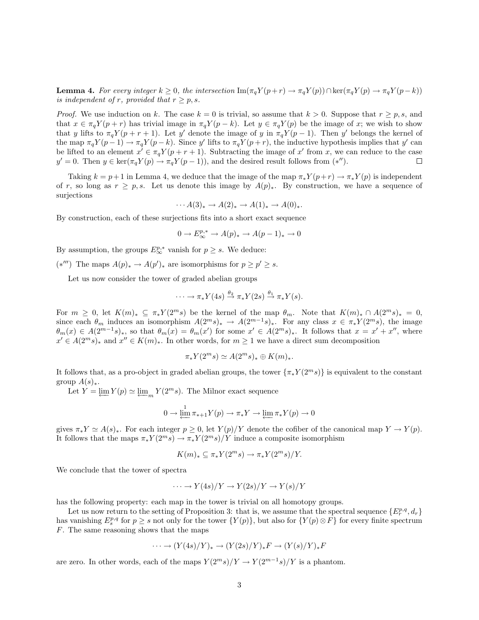**Lemma 4.** For every integer  $k \geq 0$ , the intersection  $\text{Im}(\pi_q Y(p+r) \to \pi_q Y(p)) \cap \text{ker}(\pi_q Y(p) \to \pi_q Y(p-k))$ is independent of r, provided that  $r \geq p, s$ .

*Proof.* We use induction on k. The case  $k = 0$  is trivial, so assume that  $k > 0$ . Suppose that  $r \ge p$ , s, and that  $x \in \pi_q Y(p+r)$  has trivial image in  $\pi_q Y(p-k)$ . Let  $y \in \pi_q Y(p)$  be the image of x; we wish to show that y lifts to  $\pi_q Y(p+r+1)$ . Let y' denote the image of y in  $\pi_q Y(p-1)$ . Then y' belongs the kernel of the map  $\pi_q Y(p-1) \to \pi_q Y(p-k)$ . Since y' lifts to  $\pi_q Y(p+r)$ , the inductive hypothesis implies that y' can be lifted to an element  $x^i \in \pi_q Y(p+r+1)$ . Subtracting the image of x' from x, we can reduce to the case  $y' = 0$ . Then  $y \in \ker(\pi_q Y(p) \to \pi_q Y(p-1))$ , and the desired result follows from  $(*'')$ .  $\Box$ 

Taking  $k = p+1$  in Lemma 4, we deduce that the image of the map  $\pi_* Y(p+r) \to \pi_* Y(p)$  is independent of r, so long as  $r > p$ , s. Let us denote this image by  $A(p)_*$ . By construction, we have a sequence of surjections

$$
\cdots A(3)_* \to A(2)_* \to A(1)_* \to A(0)_*.
$$

By construction, each of these surjections fits into a short exact sequence

$$
0\to E_\infty^{p,*}\to A(p)_*\to A(p-1)_*\to 0
$$

By assumption, the groups  $E^{p,*}_{\infty}$  vanish for  $p \geq s$ . We deduce:

(\*'') The maps  $A(p)$ <sub>\*</sub> →  $A(p')$ <sub>\*</sub> are isomorphisms for  $p \ge p' \ge s$ .

Let us now consider the tower of graded abelian groups

$$
\cdots \to \pi_* Y(4s) \stackrel{\theta_2}{\to} \pi_* Y(2s) \stackrel{\theta_1}{\to} \pi_* Y(s).
$$

For  $m \geq 0$ , let  $K(m)_* \subseteq \pi_* Y(2^m s)$  be the kernel of the map  $\theta_m$ . Note that  $K(m)_* \cap A(2^m s)_* = 0$ , since each  $\theta_m$  induces an isomorphism  $A(2^ms)_* \to A(2^{m-1}s)_*$ . For any class  $x \in \pi_*Y(2^ms)$ , the image  $\theta_m(x) \in A(2^{m-1}s)_*,$  so that  $\theta_m(x) = \theta_m(x')$  for some  $x' \in A(2^m s)_*.$  It follows that  $x = x' + x''$ , where  $x' \in A(2^m s)_*$  and  $x'' \in K(m)_*$ . In other words, for  $m \ge 1$  we have a direct sum decomposition

$$
\pi_* Y(2^m s) \simeq A(2^m s)_* \oplus K(m)_*.
$$

It follows that, as a pro-object in graded abelian groups, the tower  $\{\pi_* Y(2^m s)\}\$ is equivalent to the constant group  $A(s)_*.$ 

Let  $Y = \underleftarrow{\lim} Y(p) \simeq \underleftarrow{\lim} Y(2^m s)$ . The Milnor exact sequence

$$
0 \to \varprojlim^1 \pi_{*+1}Y(p) \to \pi_{*}Y \to \varprojlim \pi_{*}Y(p) \to 0
$$

gives  $\pi_* Y \simeq A(s)_*$ . For each integer  $p \geq 0$ , let  $Y(p)/Y$  denote the cofiber of the canonical map  $Y \to Y(p)$ . It follows that the maps  $\pi_* Y(2^m s) \to \pi_* Y(2^m s)/Y$  induce a composite isomorphism

$$
K(m)_* \subseteq \pi_* Y(2^m s) \to \pi_* Y(2^m s) / Y.
$$

We conclude that the tower of spectra

$$
\cdots \to Y(4s)/Y \to Y(2s)/Y \to Y(s)/Y
$$

has the following property: each map in the tower is trivial on all homotopy groups.

Let us now return to the setting of Proposition 3: that is, we assume that the spectral sequence  $\{E_r^{p,q}, d_r\}$ has vanishing  $E_s^{p,q}$  for  $p \geq s$  not only for the tower  $\{Y(p)\}\$ , but also for  $\{Y(p) \otimes F\}$  for every finite spectrum F. The same reasoning shows that the maps

$$
\cdots \to (Y(4s)/Y)_* \to (Y(2s)/Y)_*F \to (Y(s)/Y)_*F
$$

are zero. In other words, each of the maps  $Y(2^m s)/Y \to Y(2^{m-1}s)/Y$  is a phantom.